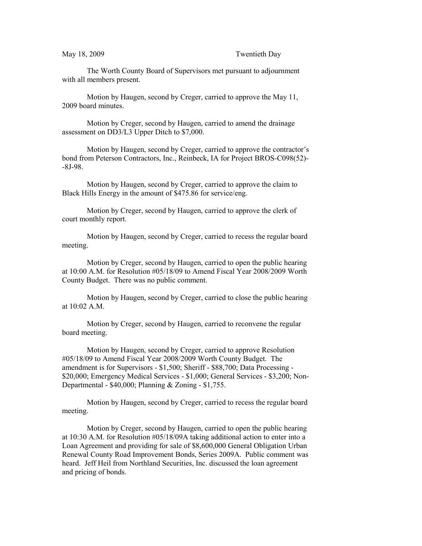The Worth County Board of Supervisors met pursuant to adjournment with all members present.

Motion by Haugen, second by Creger, carried to approve the May 11, 2009 board minutes.

Motion by Creger, second by Haugen, carried to amend the drainage assessment on DD3/L3 Upper Ditch to \$7,000.

Motion by Haugen, second by Creger, carried to approve the contractor's bond from Peterson Contractors, Inc., Reinbeck, IA for Project BROS-C098(52)- -8J-98.

Motion by Haugen, second by Creger, carried to approve the claim to Black Hills Energy in the amount of \$475.86 for service/eng.

Motion by Creger, second by Haugen, carried to approve the clerk of court monthly report.

Motion by Haugen, second by Creger, carried to recess the regular board meeting.

Motion by Creger, second by Haugen, carried to open the public hearing at 10:00 A.M. for Resolution #05/18/09 to Amend Fiscal Year 2008/2009 Worth County Budget. There was no public comment.

Motion by Haugen, second by Creger, carried to close the public hearing at 10:02 A.M.

Motion by Creger, second by Haugen, carried to reconvene the regular board meeting.

Motion by Haugen, second by Creger, carried to approve Resolution #05/18/09 to Amend Fiscal Year 2008/2009 Worth County Budget. The amendment is for Supervisors - \$1,500; Sheriff - \$88,700; Data Processing - \$20,000; Emergency Medical Services - \$1,000; General Services - \$3,200; Non-Departmental - \$40,000; Planning & Zoning - \$1,755.

Motion by Haugen, second by Creger, carried to recess the regular board meeting.

Motion by Creger, second by Haugen, carried to open the public hearing at 10:30 A.M. for Resolution #05/18/09A taking additional action to enter into a Loan Agreement and providing for sale of \$8,600,000 General Obligation Urban Renewal County Road Improvement Bonds, Series 2009A. Public comment was heard. Jeff Heil from Northland Securities, Inc. discussed the loan agreement and pricing of bonds.